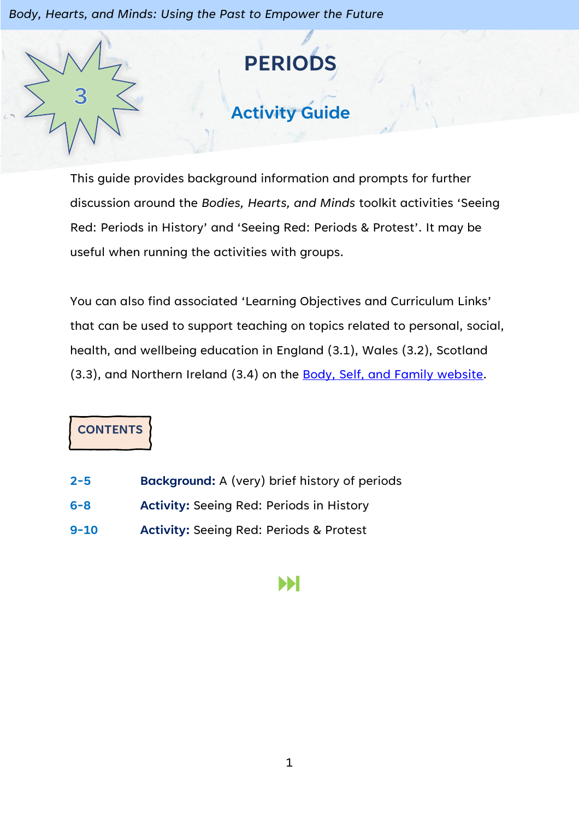*Body, Hearts, and Minds: Using the Past to Empower the Future*



This guide provides background information and prompts for further discussion around the *Bodies, Hearts, and Minds* toolkit activities 'Seeing Red: Periods in History' and 'Seeing Red: Periods & Protest'. It may be useful when running the activities with groups.

You can also find associated 'Learning Objectives and Curriculum Links' that can be used to support teaching on topics related to personal, social, health, and wellbeing education in England (3.1), Wales (3.2), Scotland (3.3), and Northern Ireland (3.4) on the [Body, Self, and Family website.](https://bodyselffamily.org/)

**CONTENTS**

- **2-5 Background:** A (very) brief history of periods
- **6-8 Activity:** Seeing Red: Periods in History
- **9-10 Activity:** Seeing Red: Periods & Protest

### Ы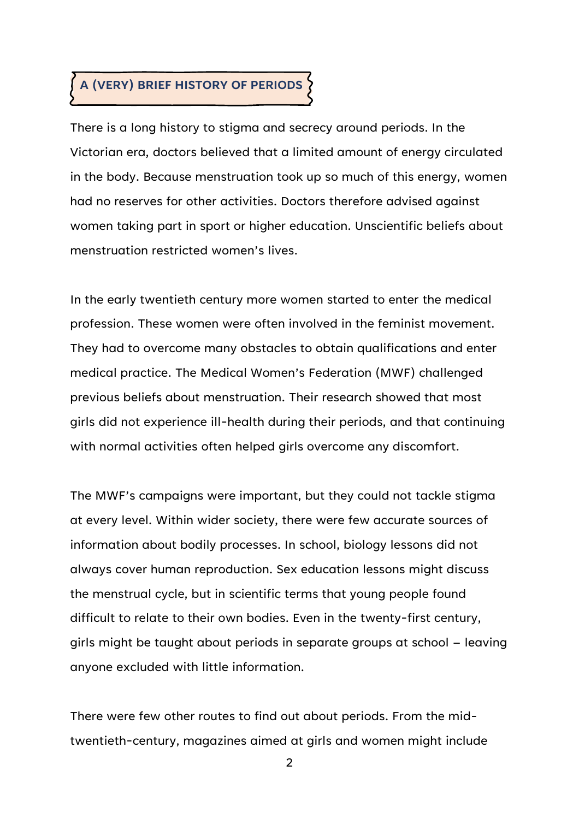# **A (VERY) BRIEF HISTORY OF PERIODS**

There is a long history to stigma and secrecy around periods. In the Victorian era, doctors believed that a limited amount of energy circulated in the body. Because menstruation took up so much of this energy, women had no reserves for other activities. Doctors therefore advised against women taking part in sport or higher education. Unscientific beliefs about menstruation restricted women's lives.

In the early twentieth century more women started to enter the medical profession. These women were often involved in the feminist movement. They had to overcome many obstacles to obtain qualifications and enter medical practice. The Medical Women's Federation (MWF) challenged previous beliefs about menstruation. Their research showed that most girls did not experience ill-health during their periods, and that continuing with normal activities often helped girls overcome any discomfort.

The MWF's campaigns were important, but they could not tackle stigma at every level. Within wider society, there were few accurate sources of information about bodily processes. In school, biology lessons did not always cover human reproduction. Sex education lessons might discuss the menstrual cycle, but in scientific terms that young people found difficult to relate to their own bodies. Even in the twenty-first century, girls might be taught about periods in separate groups at school – leaving anyone excluded with little information.

There were few other routes to find out about periods. From the midtwentieth-century, magazines aimed at girls and women might include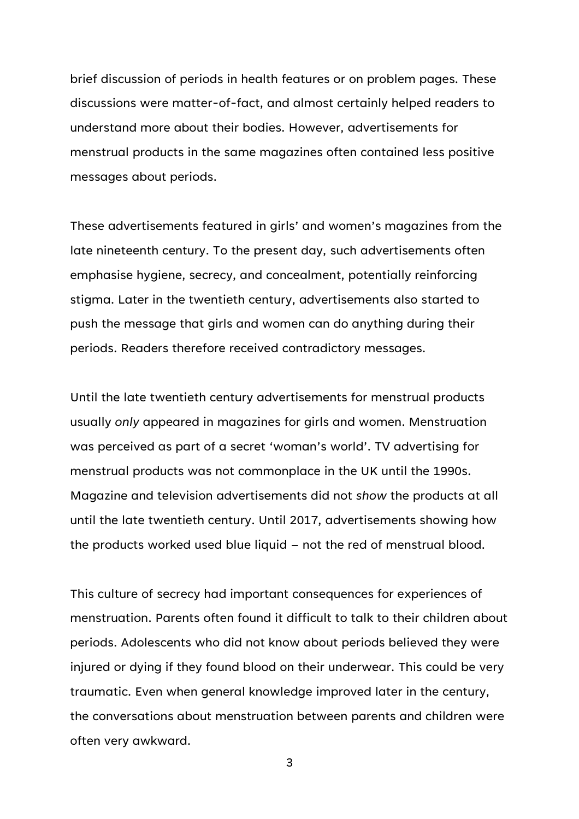brief discussion of periods in health features or on problem pages. These discussions were matter-of-fact, and almost certainly helped readers to understand more about their bodies. However, advertisements for menstrual products in the same magazines often contained less positive messages about periods.

These advertisements featured in girls' and women's magazines from the late nineteenth century. To the present day, such advertisements often emphasise hygiene, secrecy, and concealment, potentially reinforcing stigma. Later in the twentieth century, advertisements also started to push the message that girls and women can do anything during their periods. Readers therefore received contradictory messages.

Until the late twentieth century advertisements for menstrual products usually *only* appeared in magazines for girls and women. Menstruation was perceived as part of a secret 'woman's world'. TV advertising for menstrual products was not commonplace in the UK until the 1990s. Magazine and television advertisements did not *show* the products at all until the late twentieth century. Until 2017, advertisements showing how the products worked used blue liquid – not the red of menstrual blood.

This culture of secrecy had important consequences for experiences of menstruation. Parents often found it difficult to talk to their children about periods. Adolescents who did not know about periods believed they were injured or dying if they found blood on their underwear. This could be very traumatic. Even when general knowledge improved later in the century, the conversations about menstruation between parents and children were often very awkward.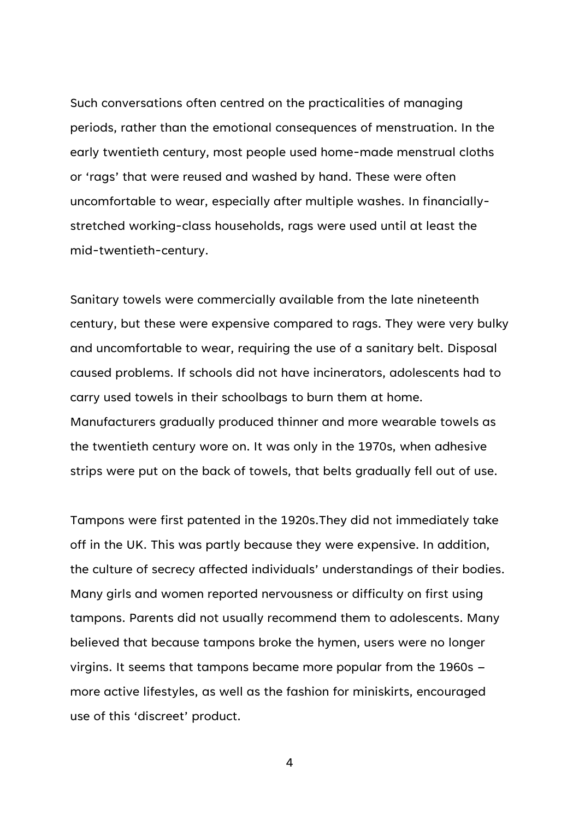Such conversations often centred on the practicalities of managing periods, rather than the emotional consequences of menstruation. In the early twentieth century, most people used home-made menstrual cloths or 'rags' that were reused and washed by hand. These were often uncomfortable to wear, especially after multiple washes. In financiallystretched working-class households, rags were used until at least the mid-twentieth-century.

Sanitary towels were commercially available from the late nineteenth century, but these were expensive compared to rags. They were very bulky and uncomfortable to wear, requiring the use of a sanitary belt. Disposal caused problems. If schools did not have incinerators, adolescents had to carry used towels in their schoolbags to burn them at home. Manufacturers gradually produced thinner and more wearable towels as the twentieth century wore on. It was only in the 1970s, when adhesive strips were put on the back of towels, that belts gradually fell out of use.

Tampons were first patented in the 1920s.They did not immediately take off in the UK. This was partly because they were expensive. In addition, the culture of secrecy affected individuals' understandings of their bodies. Many girls and women reported nervousness or difficulty on first using tampons. Parents did not usually recommend them to adolescents. Many believed that because tampons broke the hymen, users were no longer virgins. It seems that tampons became more popular from the 1960s – more active lifestyles, as well as the fashion for miniskirts, encouraged use of this 'discreet' product.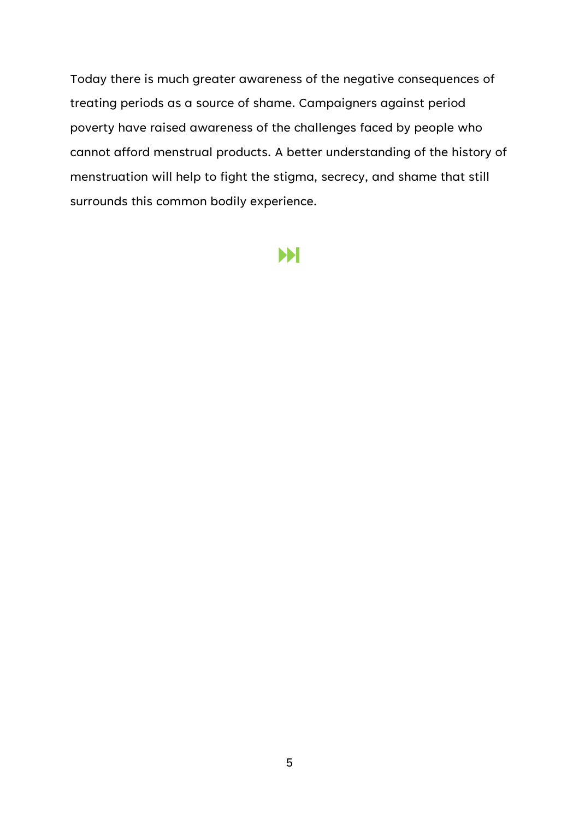Today there is much greater awareness of the negative consequences of treating periods as a source of shame. Campaigners against period poverty have raised awareness of the challenges faced by people who cannot afford menstrual products. A better understanding of the history of menstruation will help to fight the stigma, secrecy, and shame that still surrounds this common bodily experience.

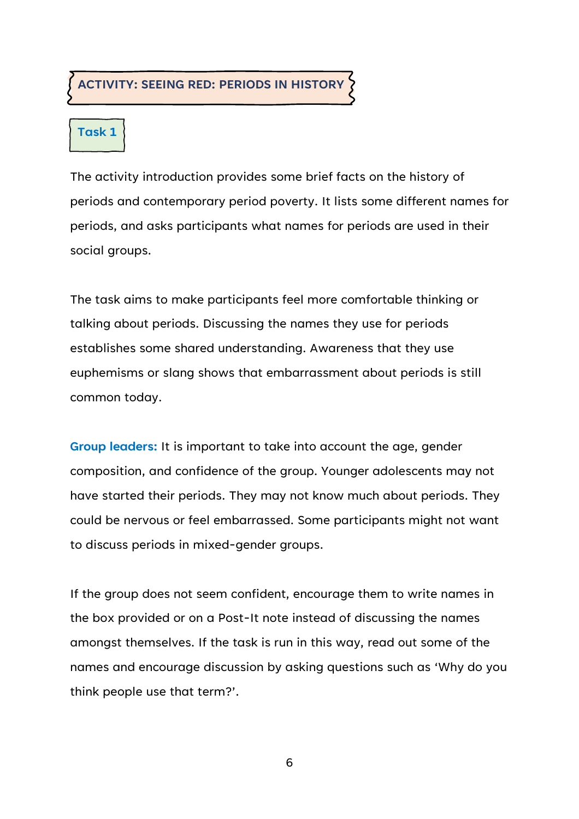#### **ACTIVITY: SEEING RED: PERIODS IN HISTORY**

#### **Task 1**

The activity introduction provides some brief facts on the history of periods and contemporary period poverty. It lists some different names for periods, and asks participants what names for periods are used in their social groups.

The task aims to make participants feel more comfortable thinking or talking about periods. Discussing the names they use for periods establishes some shared understanding. Awareness that they use euphemisms or slang shows that embarrassment about periods is still common today.

**Group leaders:** It is important to take into account the age, gender composition, and confidence of the group. Younger adolescents may not have started their periods. They may not know much about periods. They could be nervous or feel embarrassed. Some participants might not want to discuss periods in mixed-gender groups.

If the group does not seem confident, encourage them to write names in the box provided or on a Post-It note instead of discussing the names amongst themselves. If the task is run in this way, read out some of the names and encourage discussion by asking questions such as 'Why do you think people use that term?'.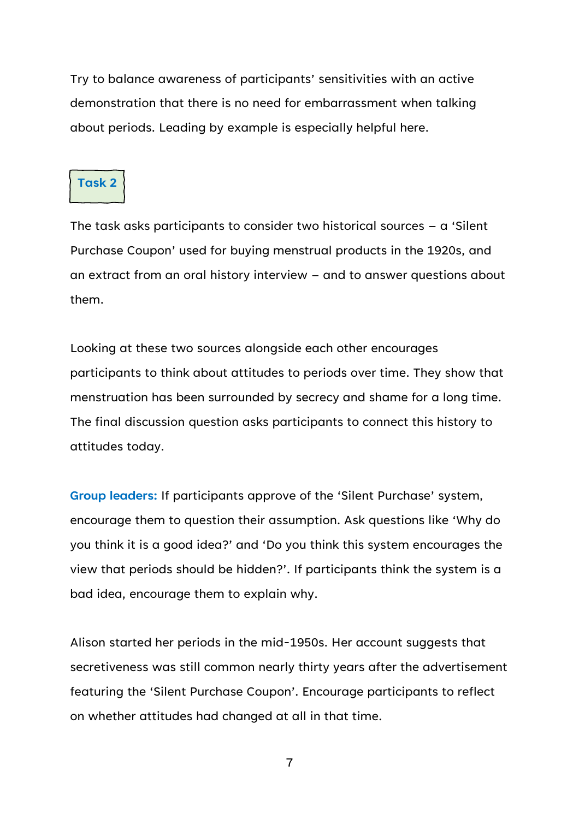Try to balance awareness of participants' sensitivities with an active demonstration that there is no need for embarrassment when talking about periods. Leading by example is especially helpful here.

#### **Task 2**

The task asks participants to consider two historical sources – a 'Silent Purchase Coupon' used for buying menstrual products in the 1920s, and an extract from an oral history interview – and to answer questions about them.

Looking at these two sources alongside each other encourages participants to think about attitudes to periods over time. They show that menstruation has been surrounded by secrecy and shame for a long time. The final discussion question asks participants to connect this history to attitudes today.

**Group leaders:** If participants approve of the 'Silent Purchase' system, encourage them to question their assumption. Ask questions like 'Why do you think it is a good idea?' and 'Do you think this system encourages the view that periods should be hidden?'. If participants think the system is a bad idea, encourage them to explain why.

Alison started her periods in the mid-1950s. Her account suggests that secretiveness was still common nearly thirty years after the advertisement featuring the 'Silent Purchase Coupon'. Encourage participants to reflect on whether attitudes had changed at all in that time.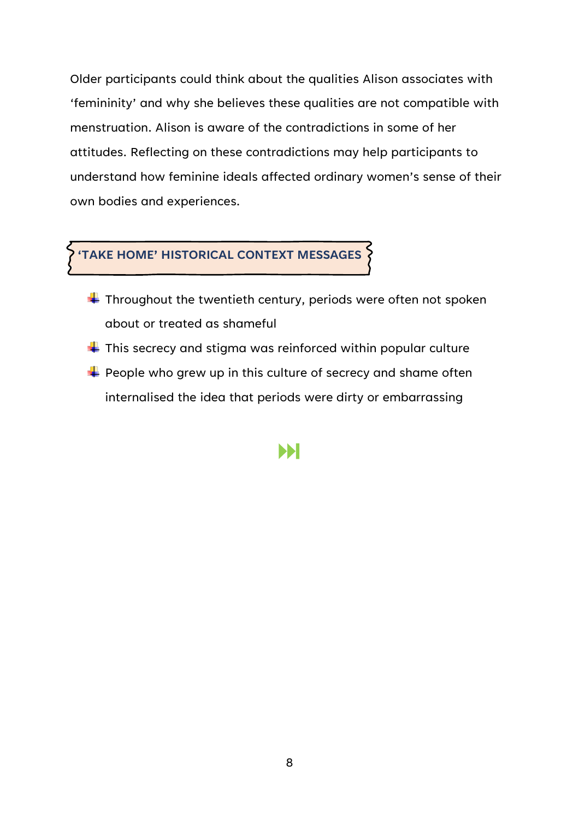Older participants could think about the qualities Alison associates with 'femininity' and why she believes these qualities are not compatible with menstruation. Alison is aware of the contradictions in some of her attitudes. Reflecting on these contradictions may help participants to understand how feminine ideals affected ordinary women's sense of their own bodies and experiences.

### **'TAKE HOME' HISTORICAL CONTEXT MESSAGES**

- $\ddot{\bullet}$  Throughout the twentieth century, periods were often not spoken about or treated as shameful
- $\ddot{\phantom{1}}$  This secrecy and stigma was reinforced within popular culture
- $\div$  People who grew up in this culture of secrecy and shame often internalised the idea that periods were dirty or embarrassing

### ÞН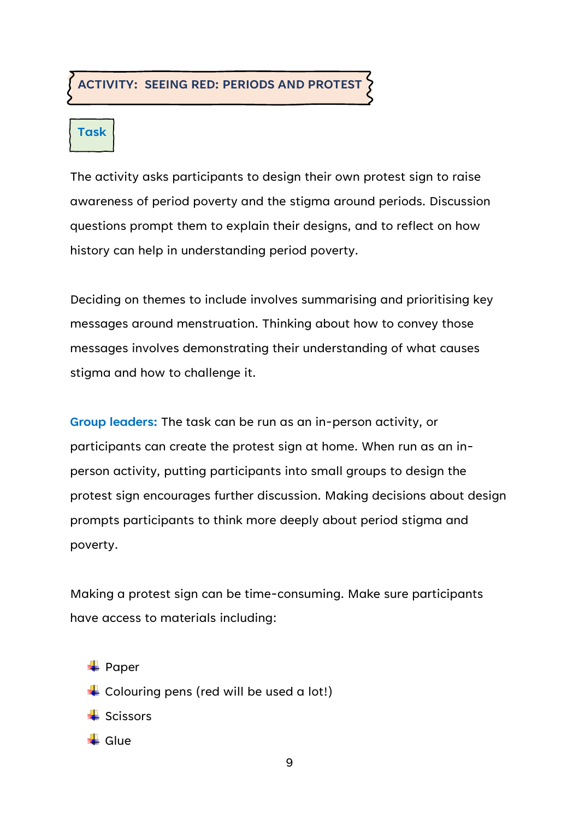#### **ACTIVITY: SEEING RED: PERIODS AND PROTEST**

## **Task**

The activity asks participants to design their own protest sign to raise awareness of period poverty and the stigma around periods. Discussion questions prompt them to explain their designs, and to reflect on how history can help in understanding period poverty.

Deciding on themes to include involves summarising and prioritising key messages around menstruation. Thinking about how to convey those messages involves demonstrating their understanding of what causes stigma and how to challenge it.

**Group leaders:** The task can be run as an in-person activity, or participants can create the protest sign at home. When run as an inperson activity, putting participants into small groups to design the protest sign encourages further discussion. Making decisions about design prompts participants to think more deeply about period stigma and poverty.

Making a protest sign can be time-consuming. Make sure participants have access to materials including:

 $\leftarrow$  Paper  $\overline{\phantom{a}}$  Colouring pens (red will be used a lot!)  $\blacktriangle$  Scissors

 $\blacksquare$  Glue